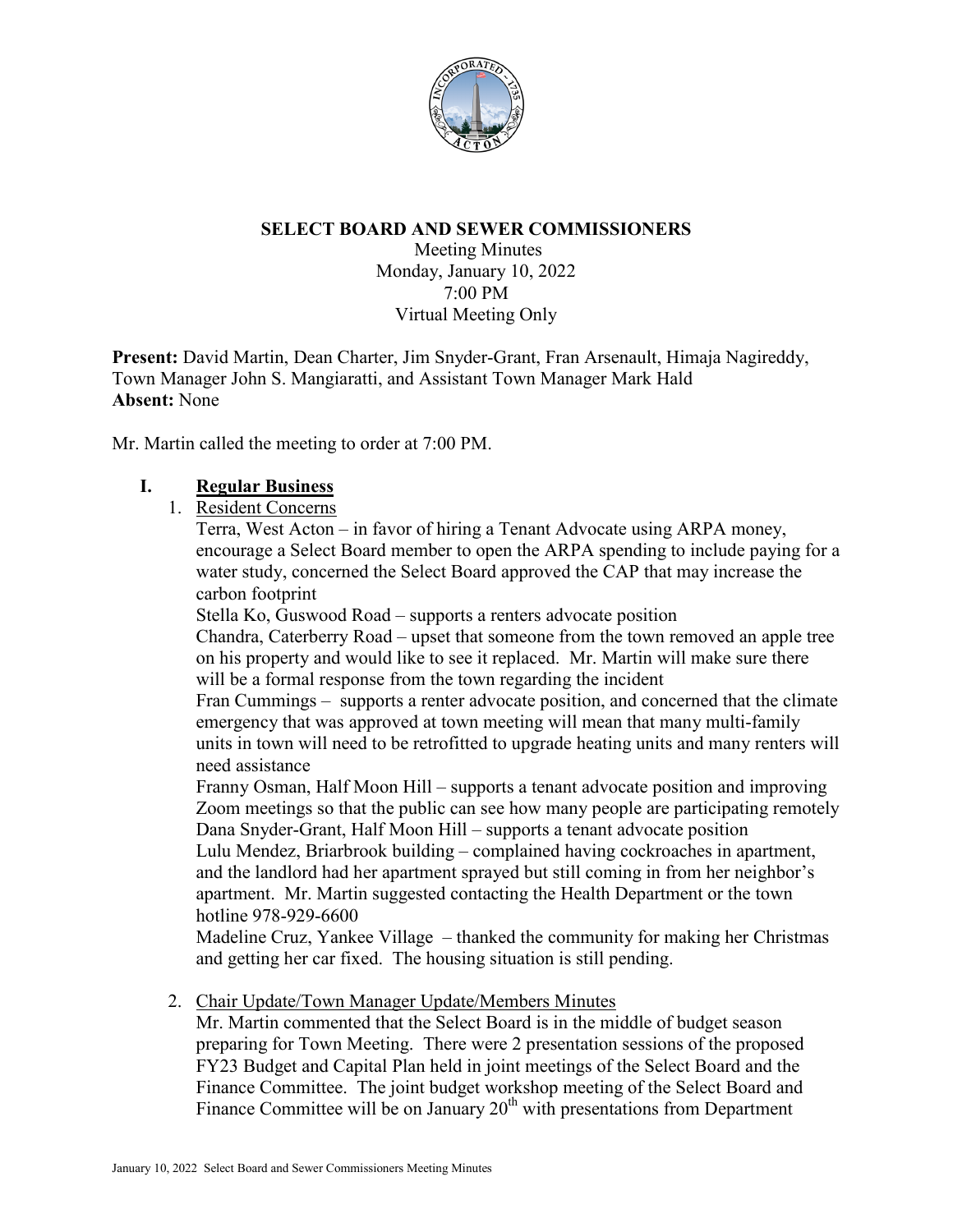

# **SELECT BOARD AND SEWER COMMISSIONERS**

Meeting Minutes Monday, January 10, 2022 7:00 PM Virtual Meeting Only

**Present:** David Martin, Dean Charter, Jim Snyder-Grant, Fran Arsenault, Himaja Nagireddy, Town Manager John S. Mangiaratti, and Assistant Town Manager Mark Hald **Absent:** None

Mr. Martin called the meeting to order at 7:00 PM.

# **I. Regular Business**

1. Resident Concerns

Terra, West Acton – in favor of hiring a Tenant Advocate using ARPA money, encourage a Select Board member to open the ARPA spending to include paying for a water study, concerned the Select Board approved the CAP that may increase the carbon footprint

Stella Ko, Guswood Road – supports a renters advocate position

Chandra, Caterberry Road – upset that someone from the town removed an apple tree on his property and would like to see it replaced. Mr. Martin will make sure there will be a formal response from the town regarding the incident

Fran Cummings – supports a renter advocate position, and concerned that the climate emergency that was approved at town meeting will mean that many multi-family units in town will need to be retrofitted to upgrade heating units and many renters will need assistance

Franny Osman, Half Moon Hill – supports a tenant advocate position and improving Zoom meetings so that the public can see how many people are participating remotely Dana Snyder-Grant, Half Moon Hill – supports a tenant advocate position Lulu Mendez, Briarbrook building – complained having cockroaches in apartment, and the landlord had her apartment sprayed but still coming in from her neighbor's apartment. Mr. Martin suggested contacting the Health Department or the town hotline 978-929-6600

Madeline Cruz, Yankee Village – thanked the community for making her Christmas and getting her car fixed. The housing situation is still pending.

2. Chair Update/Town Manager Update/Members Minutes

Mr. Martin commented that the Select Board is in the middle of budget season preparing for Town Meeting. There were 2 presentation sessions of the proposed FY23 Budget and Capital Plan held in joint meetings of the Select Board and the Finance Committee. The joint budget workshop meeting of the Select Board and Finance Committee will be on January  $20<sup>th</sup>$  with presentations from Department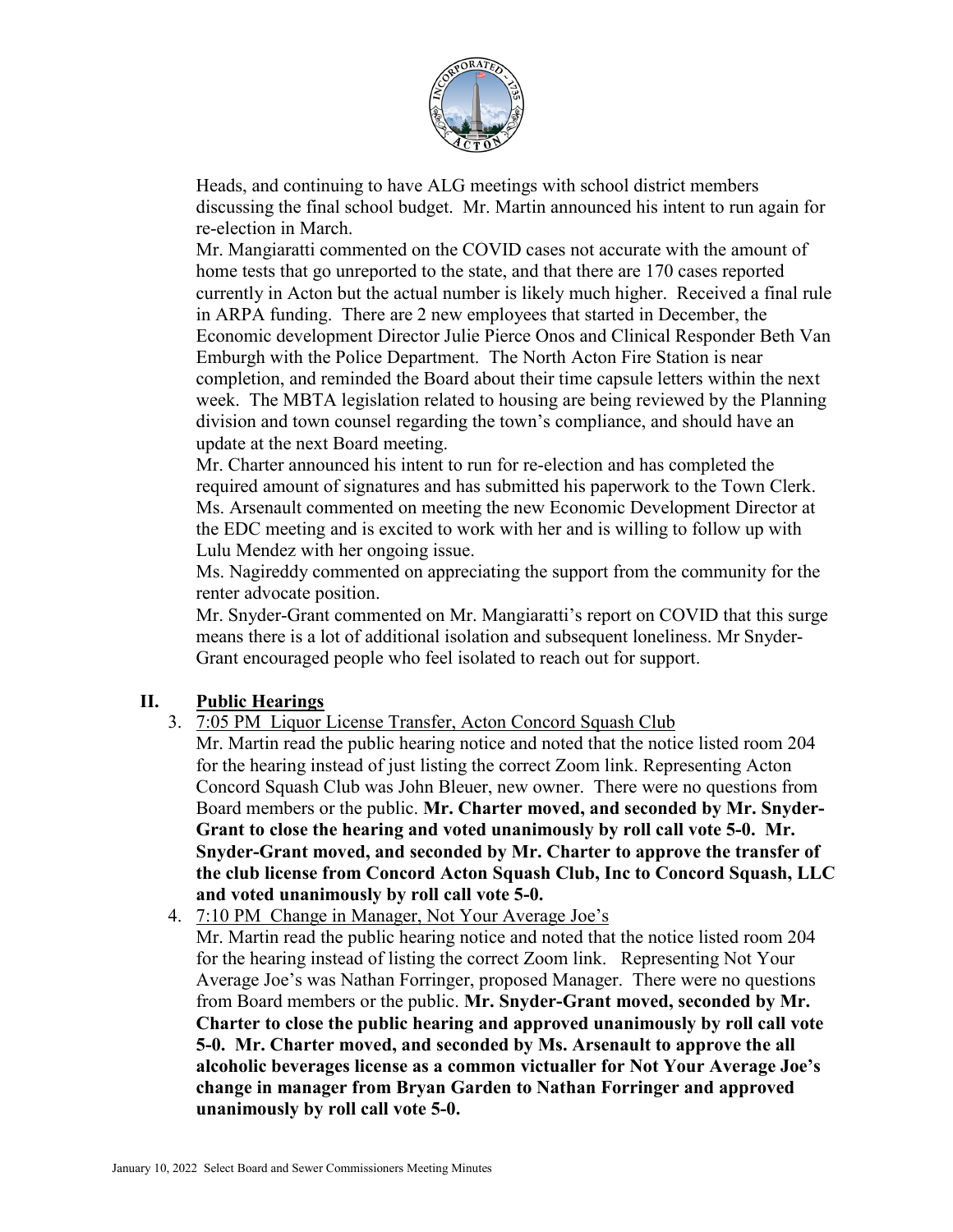

Heads, and continuing to have ALG meetings with school district members discussing the final school budget. Mr. Martin announced his intent to run again for re-election in March.

Mr. Mangiaratti commented on the COVID cases not accurate with the amount of home tests that go unreported to the state, and that there are 170 cases reported currently in Acton but the actual number is likely much higher. Received a final rule in ARPA funding. There are 2 new employees that started in December, the Economic development Director Julie Pierce Onos and Clinical Responder Beth Van Emburgh with the Police Department. The North Acton Fire Station is near completion, and reminded the Board about their time capsule letters within the next week. The MBTA legislation related to housing are being reviewed by the Planning division and town counsel regarding the town's compliance, and should have an update at the next Board meeting.

Mr. Charter announced his intent to run for re-election and has completed the required amount of signatures and has submitted his paperwork to the Town Clerk. Ms. Arsenault commented on meeting the new Economic Development Director at the EDC meeting and is excited to work with her and is willing to follow up with Lulu Mendez with her ongoing issue.

Ms. Nagireddy commented on appreciating the support from the community for the renter advocate position.

Mr. Snyder-Grant commented on Mr. Mangiaratti's report on COVID that this surge means there is a lot of additional isolation and subsequent loneliness. Mr Snyder-Grant encouraged people who feel isolated to reach out for support.

# **II. Public Hearings**

- 3. 7:05 PM Liquor License Transfer, Acton Concord Squash Club
	- Mr. Martin read the public hearing notice and noted that the notice listed room 204 for the hearing instead of just listing the correct Zoom link. Representing Acton Concord Squash Club was John Bleuer, new owner. There were no questions from Board members or the public. **Mr. Charter moved, and seconded by Mr. Snyder-Grant to close the hearing and voted unanimously by roll call vote 5-0. Mr. Snyder-Grant moved, and seconded by Mr. Charter to approve the transfer of the club license from Concord Acton Squash Club, Inc to Concord Squash, LLC and voted unanimously by roll call vote 5-0.**
- 4. 7:10 PM Change in Manager, Not Your Average Joe's

Mr. Martin read the public hearing notice and noted that the notice listed room 204 for the hearing instead of listing the correct Zoom link. Representing Not Your Average Joe's was Nathan Forringer, proposed Manager. There were no questions from Board members or the public. **Mr. Snyder-Grant moved, seconded by Mr. Charter to close the public hearing and approved unanimously by roll call vote 5-0. Mr. Charter moved, and seconded by Ms. Arsenault to approve the all alcoholic beverages license as a common victualler for Not Your Average Joe's change in manager from Bryan Garden to Nathan Forringer and approved unanimously by roll call vote 5-0.**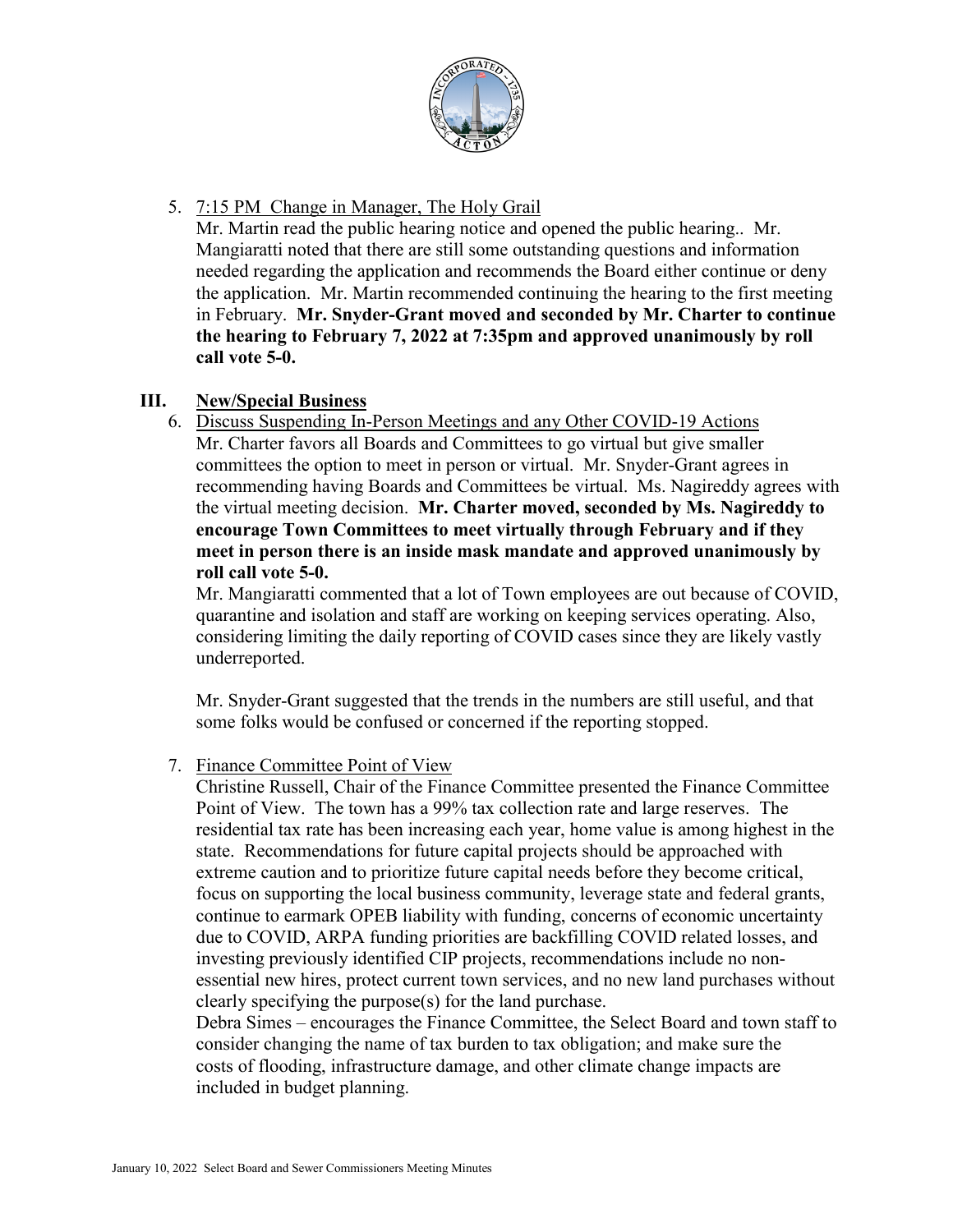

5. 7:15 PM Change in Manager, The Holy Grail

Mr. Martin read the public hearing notice and opened the public hearing.. Mr. Mangiaratti noted that there are still some outstanding questions and information needed regarding the application and recommends the Board either continue or deny the application. Mr. Martin recommended continuing the hearing to the first meeting in February. **Mr. Snyder-Grant moved and seconded by Mr. Charter to continue the hearing to February 7, 2022 at 7:35pm and approved unanimously by roll call vote 5-0.**

# **III. New/Special Business**

6. Discuss Suspending In-Person Meetings and any Other COVID-19 Actions Mr. Charter favors all Boards and Committees to go virtual but give smaller committees the option to meet in person or virtual. Mr. Snyder-Grant agrees in recommending having Boards and Committees be virtual. Ms. Nagireddy agrees with the virtual meeting decision. **Mr. Charter moved, seconded by Ms. Nagireddy to encourage Town Committees to meet virtually through February and if they meet in person there is an inside mask mandate and approved unanimously by roll call vote 5-0.**

Mr. Mangiaratti commented that a lot of Town employees are out because of COVID, quarantine and isolation and staff are working on keeping services operating. Also, considering limiting the daily reporting of COVID cases since they are likely vastly underreported.

Mr. Snyder-Grant suggested that the trends in the numbers are still useful, and that some folks would be confused or concerned if the reporting stopped.

# 7. Finance Committee Point of View

Christine Russell, Chair of the Finance Committee presented the Finance Committee Point of View. The town has a 99% tax collection rate and large reserves. The residential tax rate has been increasing each year, home value is among highest in the state. Recommendations for future capital projects should be approached with extreme caution and to prioritize future capital needs before they become critical, focus on supporting the local business community, leverage state and federal grants, continue to earmark OPEB liability with funding, concerns of economic uncertainty due to COVID, ARPA funding priorities are backfilling COVID related losses, and investing previously identified CIP projects, recommendations include no nonessential new hires, protect current town services, and no new land purchases without clearly specifying the purpose(s) for the land purchase.

Debra Simes – encourages the Finance Committee, the Select Board and town staff to consider changing the name of tax burden to tax obligation; and make sure the costs of flooding, infrastructure damage, and other climate change impacts are included in budget planning.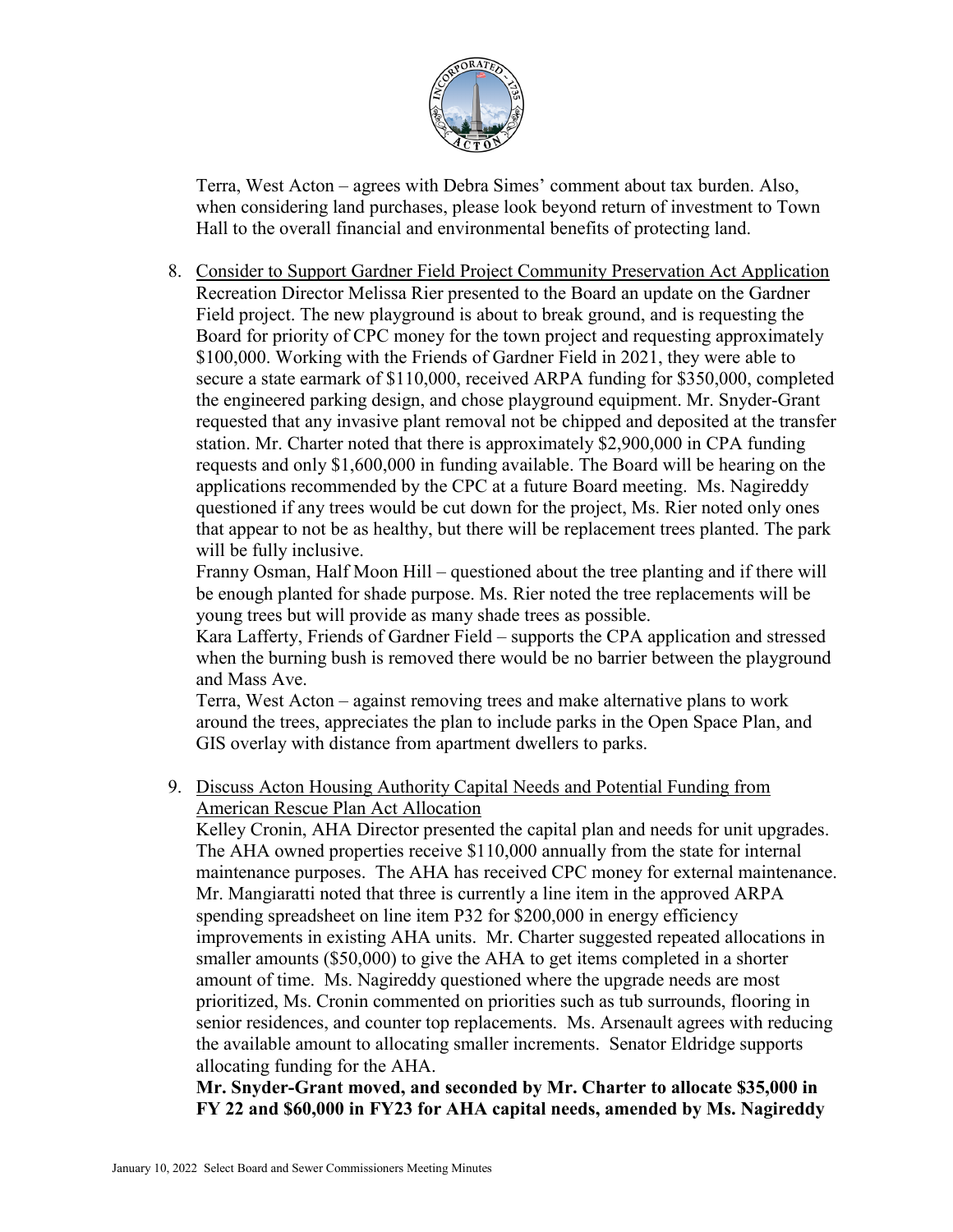

Terra, West Acton – agrees with Debra Simes' comment about tax burden. Also, when considering land purchases, please look beyond return of investment to Town Hall to the overall financial and environmental benefits of protecting land.

8. Consider to Support Gardner Field Project Community Preservation Act Application Recreation Director Melissa Rier presented to the Board an update on the Gardner Field project. The new playground is about to break ground, and is requesting the Board for priority of CPC money for the town project and requesting approximately \$100,000. Working with the Friends of Gardner Field in 2021, they were able to secure a state earmark of \$110,000, received ARPA funding for \$350,000, completed the engineered parking design, and chose playground equipment. Mr. Snyder-Grant requested that any invasive plant removal not be chipped and deposited at the transfer station. Mr. Charter noted that there is approximately \$2,900,000 in CPA funding requests and only \$1,600,000 in funding available. The Board will be hearing on the applications recommended by the CPC at a future Board meeting. Ms. Nagireddy questioned if any trees would be cut down for the project, Ms. Rier noted only ones that appear to not be as healthy, but there will be replacement trees planted. The park will be fully inclusive.

Franny Osman, Half Moon Hill – questioned about the tree planting and if there will be enough planted for shade purpose. Ms. Rier noted the tree replacements will be young trees but will provide as many shade trees as possible.

Kara Lafferty, Friends of Gardner Field – supports the CPA application and stressed when the burning bush is removed there would be no barrier between the playground and Mass Ave.

Terra, West Acton – against removing trees and make alternative plans to work around the trees, appreciates the plan to include parks in the Open Space Plan, and GIS overlay with distance from apartment dwellers to parks.

9. Discuss Acton Housing Authority Capital Needs and Potential Funding from American Rescue Plan Act Allocation

Kelley Cronin, AHA Director presented the capital plan and needs for unit upgrades. The AHA owned properties receive \$110,000 annually from the state for internal maintenance purposes. The AHA has received CPC money for external maintenance. Mr. Mangiaratti noted that three is currently a line item in the approved ARPA spending spreadsheet on line item P32 for \$200,000 in energy efficiency improvements in existing AHA units. Mr. Charter suggested repeated allocations in smaller amounts (\$50,000) to give the AHA to get items completed in a shorter amount of time. Ms. Nagireddy questioned where the upgrade needs are most prioritized, Ms. Cronin commented on priorities such as tub surrounds, flooring in senior residences, and counter top replacements. Ms. Arsenault agrees with reducing the available amount to allocating smaller increments. Senator Eldridge supports allocating funding for the AHA.

**Mr. Snyder-Grant moved, and seconded by Mr. Charter to allocate \$35,000 in FY 22 and \$60,000 in FY23 for AHA capital needs, amended by Ms. Nagireddy**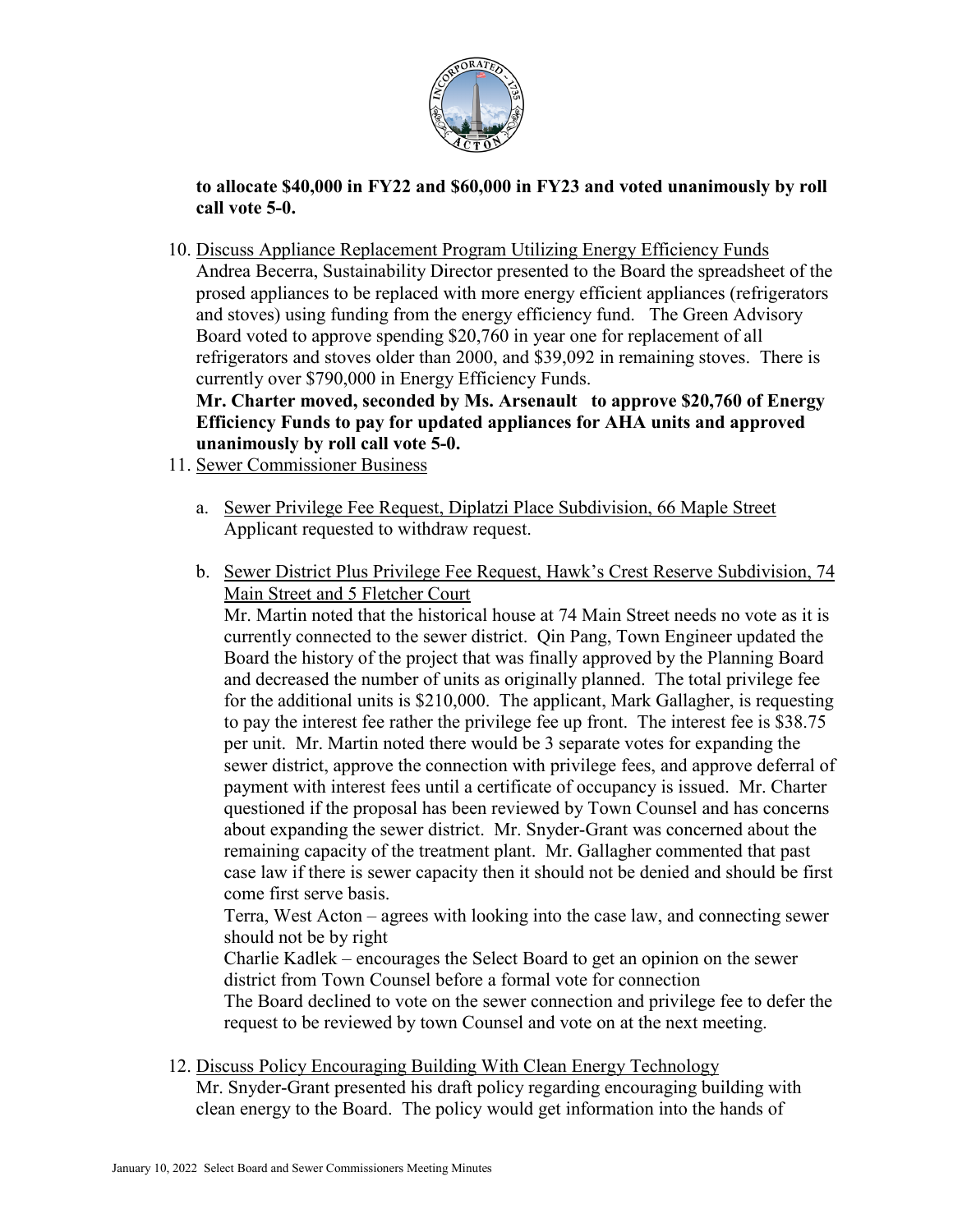

**to allocate \$40,000 in FY22 and \$60,000 in FY23 and voted unanimously by roll call vote 5-0.**

10. Discuss Appliance Replacement Program Utilizing Energy Efficiency Funds Andrea Becerra, Sustainability Director presented to the Board the spreadsheet of the prosed appliances to be replaced with more energy efficient appliances (refrigerators and stoves) using funding from the energy efficiency fund. The Green Advisory Board voted to approve spending \$20,760 in year one for replacement of all refrigerators and stoves older than 2000, and \$39,092 in remaining stoves. There is currently over \$790,000 in Energy Efficiency Funds.

**Mr. Charter moved, seconded by Ms. Arsenault to approve \$20,760 of Energy Efficiency Funds to pay for updated appliances for AHA units and approved unanimously by roll call vote 5-0.**

- 11. Sewer Commissioner Business
	- a. Sewer Privilege Fee Request, Diplatzi Place Subdivision, 66 Maple Street Applicant requested to withdraw request.
	- b. Sewer District Plus Privilege Fee Request, Hawk's Crest Reserve Subdivision, 74 Main Street and 5 Fletcher Court

Mr. Martin noted that the historical house at 74 Main Street needs no vote as it is currently connected to the sewer district. Qin Pang, Town Engineer updated the Board the history of the project that was finally approved by the Planning Board and decreased the number of units as originally planned. The total privilege fee for the additional units is \$210,000. The applicant, Mark Gallagher, is requesting to pay the interest fee rather the privilege fee up front. The interest fee is \$38.75 per unit. Mr. Martin noted there would be 3 separate votes for expanding the sewer district, approve the connection with privilege fees, and approve deferral of payment with interest fees until a certificate of occupancy is issued. Mr. Charter questioned if the proposal has been reviewed by Town Counsel and has concerns about expanding the sewer district. Mr. Snyder-Grant was concerned about the remaining capacity of the treatment plant. Mr. Gallagher commented that past case law if there is sewer capacity then it should not be denied and should be first come first serve basis.

Terra, West Acton – agrees with looking into the case law, and connecting sewer should not be by right

Charlie Kadlek – encourages the Select Board to get an opinion on the sewer district from Town Counsel before a formal vote for connection

The Board declined to vote on the sewer connection and privilege fee to defer the request to be reviewed by town Counsel and vote on at the next meeting.

12. Discuss Policy Encouraging Building With Clean Energy Technology

Mr. Snyder-Grant presented his draft policy regarding encouraging building with clean energy to the Board. The policy would get information into the hands of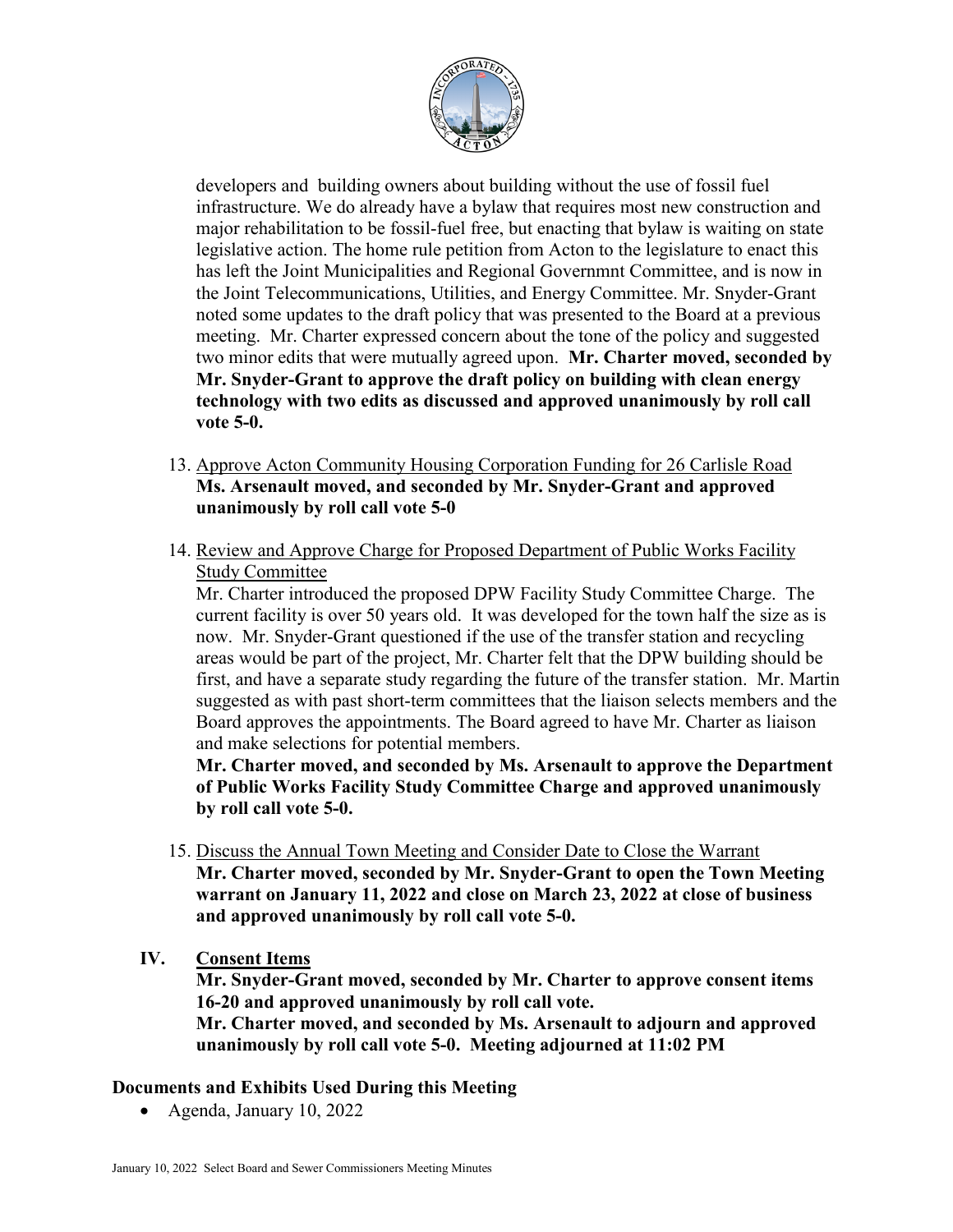

developers and building owners about building without the use of fossil fuel infrastructure. We do already have a bylaw that requires most new construction and major rehabilitation to be fossil-fuel free, but enacting that bylaw is waiting on state legislative action. The home rule petition from Acton to the legislature to enact this has left the Joint Municipalities and Regional Governmnt Committee, and is now in the Joint Telecommunications, Utilities, and Energy Committee. Mr. Snyder-Grant noted some updates to the draft policy that was presented to the Board at a previous meeting. Mr. Charter expressed concern about the tone of the policy and suggested two minor edits that were mutually agreed upon. **Mr. Charter moved, seconded by Mr. Snyder-Grant to approve the draft policy on building with clean energy technology with two edits as discussed and approved unanimously by roll call vote 5-0.**

- 13. Approve Acton Community Housing Corporation Funding for 26 Carlisle Road **Ms. Arsenault moved, and seconded by Mr. Snyder-Grant and approved unanimously by roll call vote 5-0**
- 14. Review and Approve Charge for Proposed Department of Public Works Facility Study Committee

Mr. Charter introduced the proposed DPW Facility Study Committee Charge. The current facility is over 50 years old. It was developed for the town half the size as is now. Mr. Snyder-Grant questioned if the use of the transfer station and recycling areas would be part of the project, Mr. Charter felt that the DPW building should be first, and have a separate study regarding the future of the transfer station. Mr. Martin suggested as with past short-term committees that the liaison selects members and the Board approves the appointments. The Board agreed to have Mr. Charter as liaison and make selections for potential members.

**Mr. Charter moved, and seconded by Ms. Arsenault to approve the Department of Public Works Facility Study Committee Charge and approved unanimously by roll call vote 5-0.**

- 15. Discuss the Annual Town Meeting and Consider Date to Close the Warrant **Mr. Charter moved, seconded by Mr. Snyder-Grant to open the Town Meeting warrant on January 11, 2022 and close on March 23, 2022 at close of business and approved unanimously by roll call vote 5-0.**
- **IV. Consent Items**

**Mr. Snyder-Grant moved, seconded by Mr. Charter to approve consent items 16-20 and approved unanimously by roll call vote. Mr. Charter moved, and seconded by Ms. Arsenault to adjourn and approved unanimously by roll call vote 5-0. Meeting adjourned at 11:02 PM**

# **Documents and Exhibits Used During this Meeting**

• Agenda, January 10, 2022